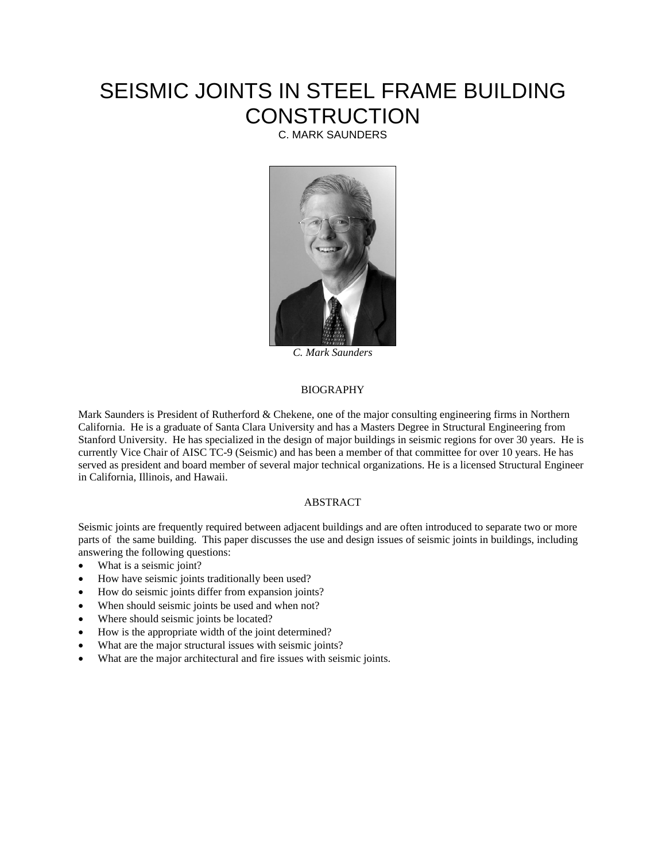# SEISMIC JOINTS IN STEEL FRAME BUILDING **CONSTRUCTION**

C. MARK SAUNDERS



*C. Mark Saunders* 

# BIOGRAPHY

Mark Saunders is President of Rutherford & Chekene, one of the major consulting engineering firms in Northern California. He is a graduate of Santa Clara University and has a Masters Degree in Structural Engineering from Stanford University. He has specialized in the design of major buildings in seismic regions for over 30 years. He is currently Vice Chair of AISC TC-9 (Seismic) and has been a member of that committee for over 10 years. He has served as president and board member of several major technical organizations. He is a licensed Structural Engineer in California, Illinois, and Hawaii.

# ABSTRACT

Seismic joints are frequently required between adjacent buildings and are often introduced to separate two or more parts of the same building. This paper discusses the use and design issues of seismic joints in buildings, including answering the following questions:

- What is a seismic joint?
- How have seismic joints traditionally been used?
- How do seismic joints differ from expansion joints?
- When should seismic joints be used and when not?
- Where should seismic joints be located?
- How is the appropriate width of the joint determined?
- What are the major structural issues with seismic joints?
- What are the major architectural and fire issues with seismic joints.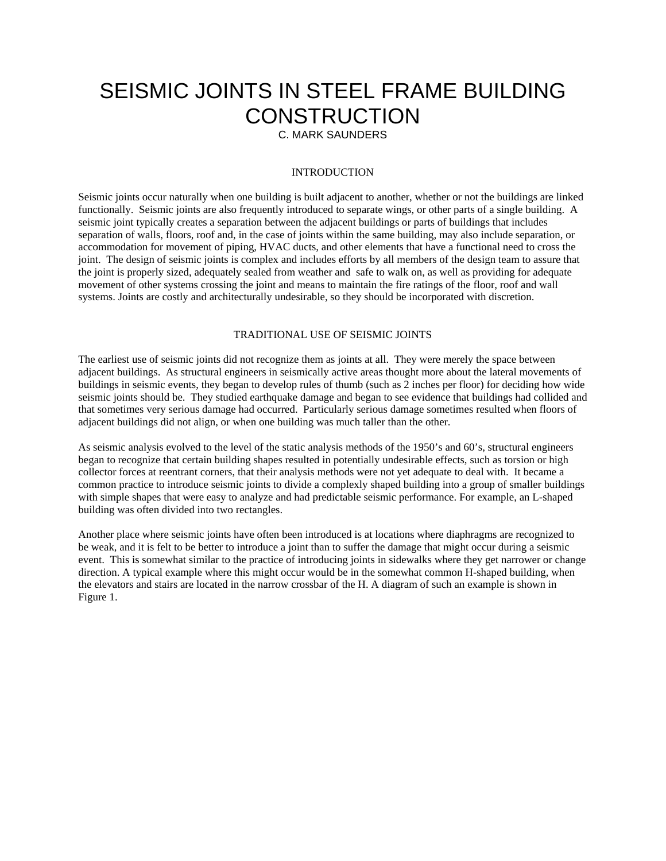# SEISMIC JOINTS IN STEEL FRAME BUILDING **CONSTRUCTION**

C. MARK SAUNDERS

# **INTRODUCTION**

Seismic joints occur naturally when one building is built adjacent to another, whether or not the buildings are linked functionally. Seismic joints are also frequently introduced to separate wings, or other parts of a single building. A seismic joint typically creates a separation between the adjacent buildings or parts of buildings that includes separation of walls, floors, roof and, in the case of joints within the same building, may also include separation, or accommodation for movement of piping, HVAC ducts, and other elements that have a functional need to cross the joint. The design of seismic joints is complex and includes efforts by all members of the design team to assure that the joint is properly sized, adequately sealed from weather and safe to walk on, as well as providing for adequate movement of other systems crossing the joint and means to maintain the fire ratings of the floor, roof and wall systems. Joints are costly and architecturally undesirable, so they should be incorporated with discretion.

### TRADITIONAL USE OF SEISMIC JOINTS

The earliest use of seismic joints did not recognize them as joints at all. They were merely the space between adjacent buildings. As structural engineers in seismically active areas thought more about the lateral movements of buildings in seismic events, they began to develop rules of thumb (such as  $\tilde{2}$  inches per floor) for deciding how wide seismic joints should be. They studied earthquake damage and began to see evidence that buildings had collided and that sometimes very serious damage had occurred. Particularly serious damage sometimes resulted when floors of adjacent buildings did not align, or when one building was much taller than the other.

As seismic analysis evolved to the level of the static analysis methods of the 1950's and 60's, structural engineers began to recognize that certain building shapes resulted in potentially undesirable effects, such as torsion or high collector forces at reentrant corners, that their analysis methods were not yet adequate to deal with. It became a common practice to introduce seismic joints to divide a complexly shaped building into a group of smaller buildings with simple shapes that were easy to analyze and had predictable seismic performance. For example, an L-shaped building was often divided into two rectangles.

Another place where seismic joints have often been introduced is at locations where diaphragms are recognized to be weak, and it is felt to be better to introduce a joint than to suffer the damage that might occur during a seismic event. This is somewhat similar to the practice of introducing joints in sidewalks where they get narrower or change direction. A typical example where this might occur would be in the somewhat common H-shaped building, when the elevators and stairs are located in the narrow crossbar of the H. A diagram of such an example is shown in Figure 1.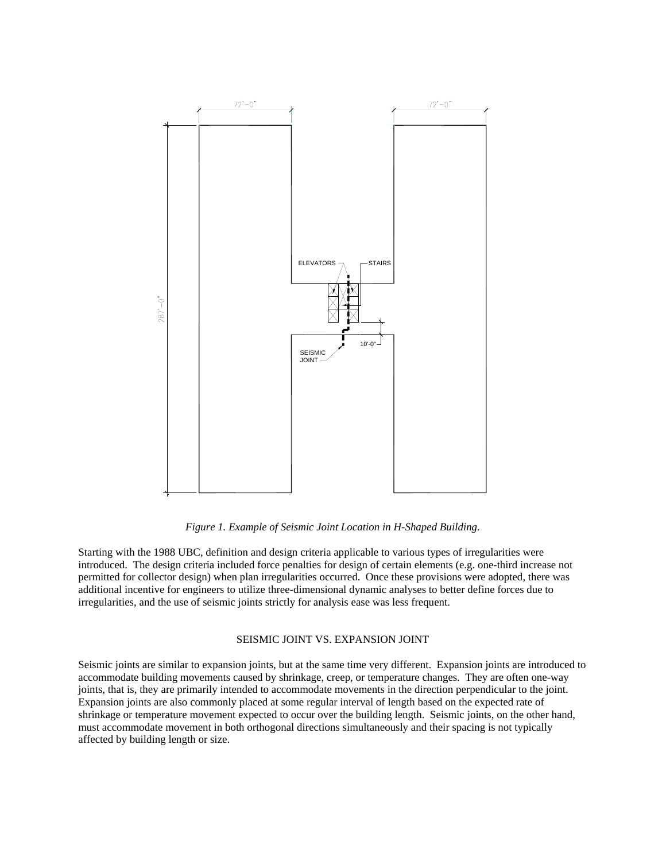

*Figure 1. Example of Seismic Joint Location in H-Shaped Building.* 

Starting with the 1988 UBC, definition and design criteria applicable to various types of irregularities were introduced. The design criteria included force penalties for design of certain elements (e.g. one-third increase not permitted for collector design) when plan irregularities occurred. Once these provisions were adopted, there was additional incentive for engineers to utilize three-dimensional dynamic analyses to better define forces due to irregularities, and the use of seismic joints strictly for analysis ease was less frequent.

### SEISMIC JOINT VS. EXPANSION JOINT

Seismic joints are similar to expansion joints, but at the same time very different. Expansion joints are introduced to accommodate building movements caused by shrinkage, creep, or temperature changes. They are often one-way joints, that is, they are primarily intended to accommodate movements in the direction perpendicular to the joint. Expansion joints are also commonly placed at some regular interval of length based on the expected rate of shrinkage or temperature movement expected to occur over the building length. Seismic joints, on the other hand, must accommodate movement in both orthogonal directions simultaneously and their spacing is not typically affected by building length or size.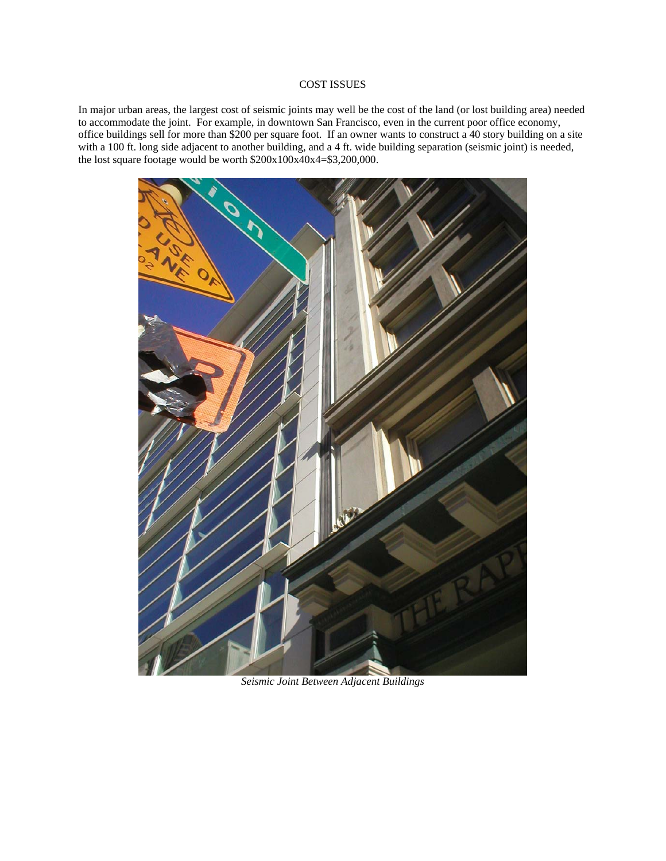# COST ISSUES

In major urban areas, the largest cost of seismic joints may well be the cost of the land (or lost building area) needed to accommodate the joint. For example, in downtown San Francisco, even in the current poor office economy, office buildings sell for more than \$200 per square foot. If an owner wants to construct a 40 story building on a site with a 100 ft. long side adjacent to another building, and a 4 ft. wide building separation (seismic joint) is needed, the lost square footage would be worth \$200x100x40x4=\$3,200,000.



*Seismic Joint Between Adjacent Buildings*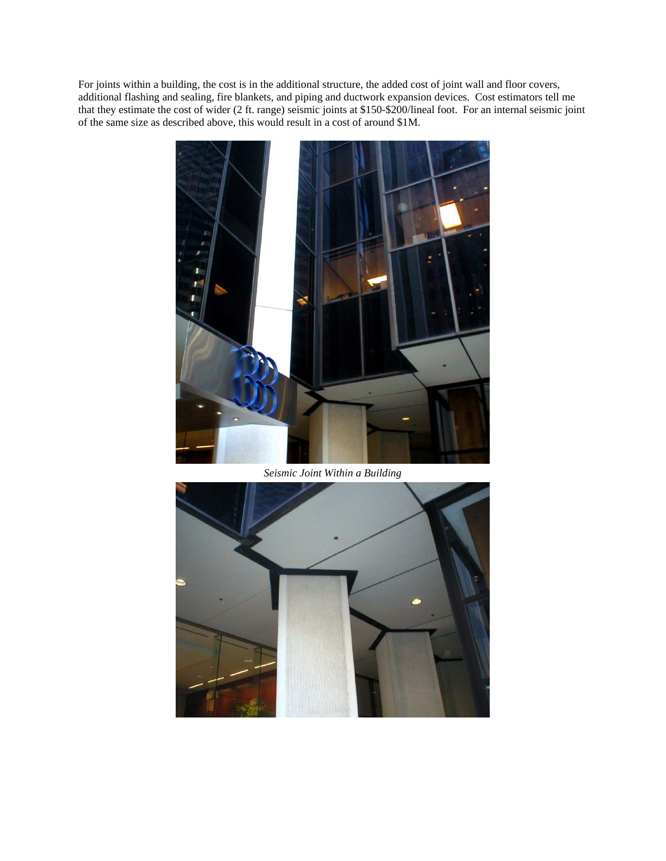For joints within a building, the cost is in the additional structure, the added cost of joint wall and floor covers, additional flashing and sealing, fire blankets, and piping and ductwork expansion devices. Cost estimators tell me that they estimate the cost of wider (2 ft. range) seismic joints at \$150-\$200/lineal foot. For an internal seismic joint of the same size as described above, this would result in a cost of around \$1M.



*Seismic Joint Within a Building* 

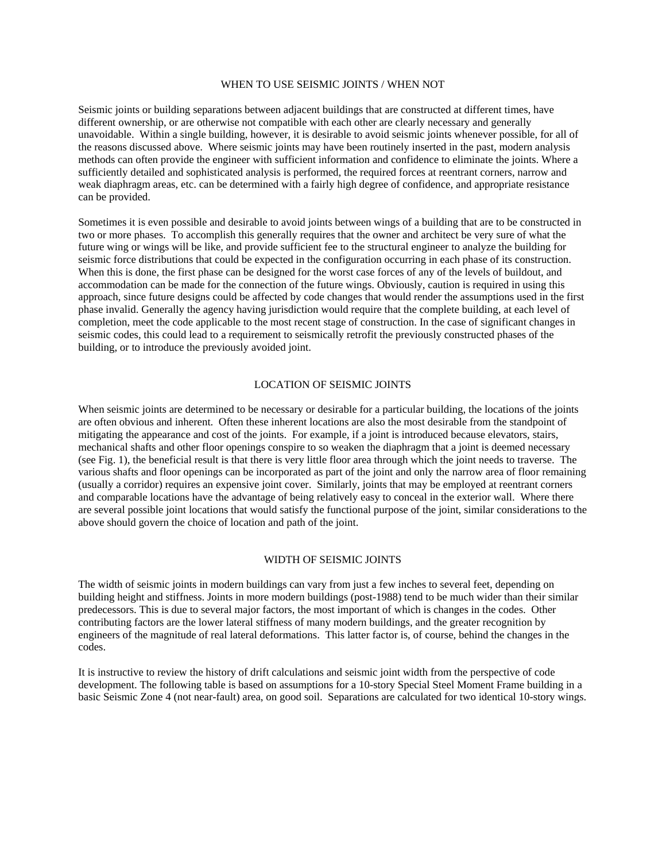#### WHEN TO USE SEISMIC JOINTS / WHEN NOT

Seismic joints or building separations between adjacent buildings that are constructed at different times, have different ownership, or are otherwise not compatible with each other are clearly necessary and generally unavoidable. Within a single building, however, it is desirable to avoid seismic joints whenever possible, for all of the reasons discussed above. Where seismic joints may have been routinely inserted in the past, modern analysis methods can often provide the engineer with sufficient information and confidence to eliminate the joints. Where a sufficiently detailed and sophisticated analysis is performed, the required forces at reentrant corners, narrow and weak diaphragm areas, etc. can be determined with a fairly high degree of confidence, and appropriate resistance can be provided.

Sometimes it is even possible and desirable to avoid joints between wings of a building that are to be constructed in two or more phases. To accomplish this generally requires that the owner and architect be very sure of what the future wing or wings will be like, and provide sufficient fee to the structural engineer to analyze the building for seismic force distributions that could be expected in the configuration occurring in each phase of its construction. When this is done, the first phase can be designed for the worst case forces of any of the levels of buildout, and accommodation can be made for the connection of the future wings. Obviously, caution is required in using this approach, since future designs could be affected by code changes that would render the assumptions used in the first phase invalid. Generally the agency having jurisdiction would require that the complete building, at each level of completion, meet the code applicable to the most recent stage of construction. In the case of significant changes in seismic codes, this could lead to a requirement to seismically retrofit the previously constructed phases of the building, or to introduce the previously avoided joint.

#### LOCATION OF SEISMIC JOINTS

When seismic joints are determined to be necessary or desirable for a particular building, the locations of the joints are often obvious and inherent. Often these inherent locations are also the most desirable from the standpoint of mitigating the appearance and cost of the joints. For example, if a joint is introduced because elevators, stairs, mechanical shafts and other floor openings conspire to so weaken the diaphragm that a joint is deemed necessary (see Fig. 1), the beneficial result is that there is very little floor area through which the joint needs to traverse. The various shafts and floor openings can be incorporated as part of the joint and only the narrow area of floor remaining (usually a corridor) requires an expensive joint cover. Similarly, joints that may be employed at reentrant corners and comparable locations have the advantage of being relatively easy to conceal in the exterior wall. Where there are several possible joint locations that would satisfy the functional purpose of the joint, similar considerations to the above should govern the choice of location and path of the joint.

#### WIDTH OF SEISMIC JOINTS

The width of seismic joints in modern buildings can vary from just a few inches to several feet, depending on building height and stiffness. Joints in more modern buildings (post-1988) tend to be much wider than their similar predecessors. This is due to several major factors, the most important of which is changes in the codes. Other contributing factors are the lower lateral stiffness of many modern buildings, and the greater recognition by engineers of the magnitude of real lateral deformations. This latter factor is, of course, behind the changes in the codes.

It is instructive to review the history of drift calculations and seismic joint width from the perspective of code development. The following table is based on assumptions for a 10-story Special Steel Moment Frame building in a basic Seismic Zone 4 (not near-fault) area, on good soil. Separations are calculated for two identical 10-story wings.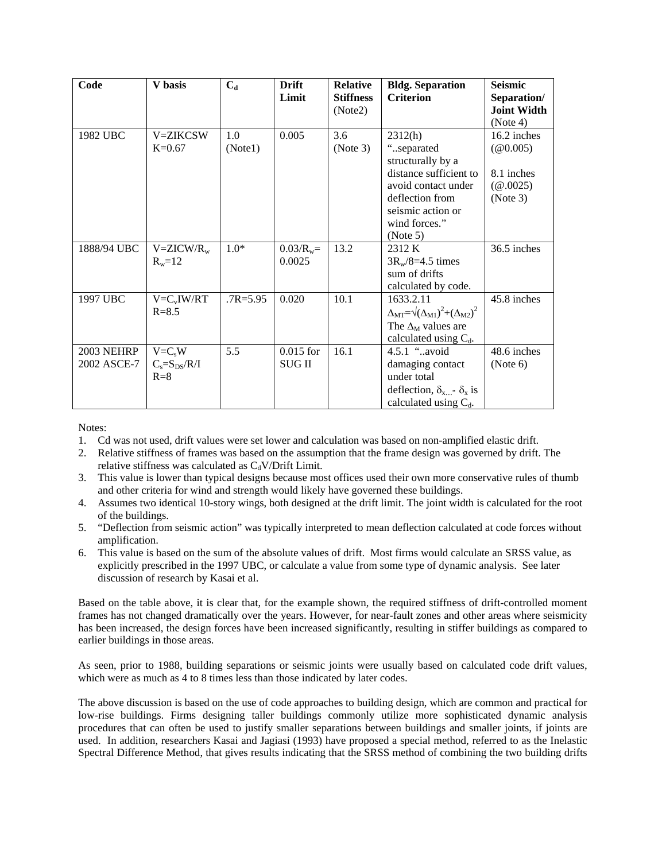| Code                      | V basis                                      | $C_d$          | <b>Drift</b><br>Limit       | <b>Relative</b><br><b>Stiffness</b> | <b>Bldg.</b> Separation<br><b>Criterion</b>                                                                                                                                        | <b>Seismic</b><br>Separation/                 |
|---------------------------|----------------------------------------------|----------------|-----------------------------|-------------------------------------|------------------------------------------------------------------------------------------------------------------------------------------------------------------------------------|-----------------------------------------------|
|                           |                                              |                |                             | (Note2)                             |                                                                                                                                                                                    | <b>Joint Width</b><br>(Note 4)                |
| 1982 UBC                  | V=ZIKCSW<br>$K=0.67$                         | 1.0<br>(Note1) | 0.005                       | 3.6<br>(Note 3)                     | 2312(h)<br>"separated<br>structurally by a<br>distance sufficient to                                                                                                               | 16.2 inches<br>$(\omega 0.005)$<br>8.1 inches |
|                           |                                              |                |                             |                                     | avoid contact under<br>deflection from<br>seismic action or<br>wind forces."<br>(Note 5)                                                                                           | $(\omega.0025)$<br>(Note 3)                   |
| 1888/94 UBC               | $V = ZICW/R_w$<br>$R_w = 12$                 | $1.0*$         | $0.03/R_w =$<br>0.0025      | 13.2                                | 2312 K<br>$3R_w/8 = 4.5$ times<br>sum of drifts<br>calculated by code.                                                                                                             | 36.5 inches                                   |
| 1997 UBC                  | $V = C_v I W / R T$<br>$R = 8.5$             | $.7R = 5.95$   | 0.020                       | 10.1                                | 1633.2.11<br>$\Delta_{\text{MT}} = \sqrt{\left(\Delta_{\text{M1}}\right)^2 + \left(\Delta_{\text{M2}}\right)^2}$<br>The $\Delta_M$ values are<br>calculated using C <sub>d</sub> . | 45.8 inches                                   |
| 2003 NEHRP<br>2002 ASCE-7 | $V = C_s W$<br>$C_s = S_{DS} / R/I$<br>$R=8$ | 5.5            | $0.015$ for<br><b>SUGII</b> | 16.1                                | 4.5.1 "avoid<br>damaging contact<br>under total<br>deflection, $\delta_{x}$ $\delta_{x}$ is<br>calculated using $C_d$ .                                                            | 48.6 inches<br>(Note 6)                       |

Notes:

1. Cd was not used, drift values were set lower and calculation was based on non-amplified elastic drift.

2. Relative stiffness of frames was based on the assumption that the frame design was governed by drift. The relative stiffness was calculated as  $C_dV/D$ rift Limit.

- 3. This value is lower than typical designs because most offices used their own more conservative rules of thumb and other criteria for wind and strength would likely have governed these buildings.
- 4. Assumes two identical 10-story wings, both designed at the drift limit. The joint width is calculated for the root of the buildings.
- 5. "Deflection from seismic action" was typically interpreted to mean deflection calculated at code forces without amplification.
- 6. This value is based on the sum of the absolute values of drift. Most firms would calculate an SRSS value, as explicitly prescribed in the 1997 UBC, or calculate a value from some type of dynamic analysis. See later discussion of research by Kasai et al.

Based on the table above, it is clear that, for the example shown, the required stiffness of drift-controlled moment frames has not changed dramatically over the years. However, for near-fault zones and other areas where seismicity has been increased, the design forces have been increased significantly, resulting in stiffer buildings as compared to earlier buildings in those areas.

As seen, prior to 1988, building separations or seismic joints were usually based on calculated code drift values, which were as much as 4 to 8 times less than those indicated by later codes.

The above discussion is based on the use of code approaches to building design, which are common and practical for low-rise buildings. Firms designing taller buildings commonly utilize more sophisticated dynamic analysis procedures that can often be used to justify smaller separations between buildings and smaller joints, if joints are used. In addition, researchers Kasai and Jagiasi (1993) have proposed a special method, referred to as the Inelastic Spectral Difference Method, that gives results indicating that the SRSS method of combining the two building drifts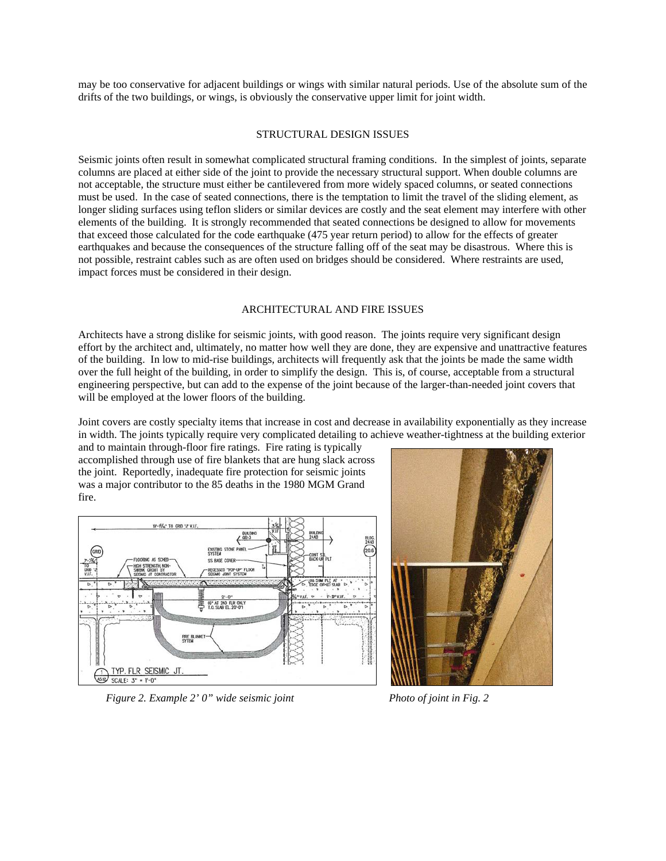may be too conservative for adjacent buildings or wings with similar natural periods. Use of the absolute sum of the drifts of the two buildings, or wings, is obviously the conservative upper limit for joint width.

### STRUCTURAL DESIGN ISSUES

Seismic joints often result in somewhat complicated structural framing conditions. In the simplest of joints, separate columns are placed at either side of the joint to provide the necessary structural support. When double columns are not acceptable, the structure must either be cantilevered from more widely spaced columns, or seated connections must be used. In the case of seated connections, there is the temptation to limit the travel of the sliding element, as longer sliding surfaces using teflon sliders or similar devices are costly and the seat element may interfere with other elements of the building. It is strongly recommended that seated connections be designed to allow for movements that exceed those calculated for the code earthquake (475 year return period) to allow for the effects of greater earthquakes and because the consequences of the structure falling off of the seat may be disastrous. Where this is not possible, restraint cables such as are often used on bridges should be considered. Where restraints are used, impact forces must be considered in their design.

#### ARCHITECTURAL AND FIRE ISSUES

Architects have a strong dislike for seismic joints, with good reason. The joints require very significant design effort by the architect and, ultimately, no matter how well they are done, they are expensive and unattractive features of the building. In low to mid-rise buildings, architects will frequently ask that the joints be made the same width over the full height of the building, in order to simplify the design. This is, of course, acceptable from a structural engineering perspective, but can add to the expense of the joint because of the larger-than-needed joint covers that will be employed at the lower floors of the building.

Joint covers are costly specialty items that increase in cost and decrease in availability exponentially as they increase in width. The joints typically require very complicated detailing to achieve weather-tightness at the building exterior

and to maintain through-floor fire ratings. Fire rating is typically accomplished through use of fire blankets that are hung slack across the joint. Reportedly, inadequate fire protection for seismic joints was a major contributor to the 85 deaths in the 1980 MGM Grand fire.





*Figure 2. Example 2' 0" wide seismic joint* Photo *Photo of joint in Fig. 2*